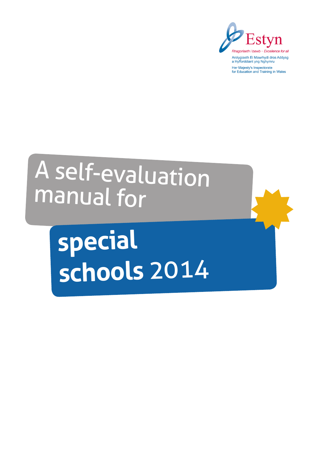

# A self-evaluation manual for

**special schools** 2014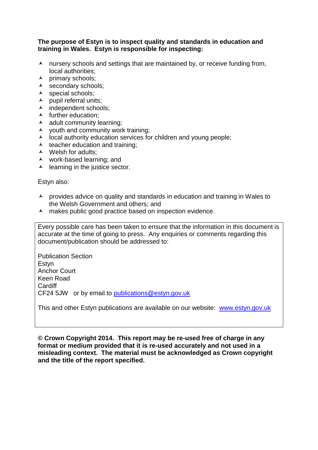#### **The purpose of Estyn is to inspect quality and standards in education and training in Wales. Estyn is responsible for inspecting:**

- $\lambda$  nursery schools and settings that are maintained by, or receive funding from, local authorities;
- $\lambda$  primary schools;
- $\lambda$  secondary schools;
- $\lambda$  special schools;
- $\blacktriangle$  pupil referral units;
- A independent schools;
- $\blacktriangle$  further education;
- $\lambda$  adult community learning;
- $\lambda$  vouth and community work training:
- $\lambda$  local authority education services for children and young people;
- $\lambda$  teacher education and training;
- $\lambda$  Welsh for adults:
- work-based learning; and
- $\blacktriangle$  learning in the justice sector.

Estyn also:

- provides advice on quality and standards in education and training in Wales to the Welsh Government and others; and
- A makes public good practice based on inspection evidence.

Every possible care has been taken to ensure that the information in this document is accurate at the time of going to press. Any enquiries or comments regarding this document/publication should be addressed to:

Publication Section Estyn Anchor Court Keen Road **Cardiff** CF24 5JW or by email to [publications@estyn.gov.uk](mailto:publications@estyn.gov.uk)

This and other Estyn publications are available on our website: [www.estyn.gov.uk](http://www.estyn.gov.uk/)

**© Crown Copyright 2014. This report may be re-used free of charge in any format or medium provided that it is re-used accurately and not used in a misleading context. The material must be acknowledged as Crown copyright and the title of the report specified.**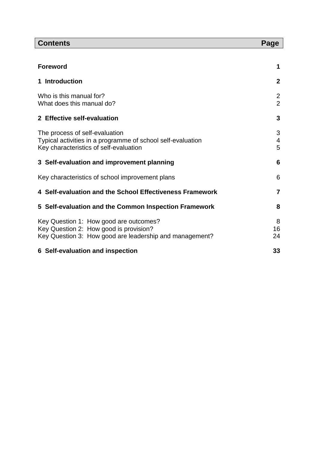| <b>Contents</b>                                                                                                                             | Page                             |
|---------------------------------------------------------------------------------------------------------------------------------------------|----------------------------------|
|                                                                                                                                             |                                  |
| <b>Foreword</b>                                                                                                                             | 1                                |
| 1 Introduction                                                                                                                              | $\mathbf{2}$                     |
| Who is this manual for?<br>What does this manual do?                                                                                        | $\overline{2}$<br>$\overline{2}$ |
| 2 Effective self-evaluation                                                                                                                 | 3                                |
| The process of self-evaluation<br>Typical activities in a programme of school self-evaluation<br>Key characteristics of self-evaluation     | 3<br>4<br>5                      |
| 3 Self-evaluation and improvement planning                                                                                                  | 6                                |
| Key characteristics of school improvement plans                                                                                             | 6                                |
| 4 Self-evaluation and the School Effectiveness Framework                                                                                    | 7                                |
| 5 Self-evaluation and the Common Inspection Framework                                                                                       | 8                                |
| Key Question 1: How good are outcomes?<br>Key Question 2: How good is provision?<br>Key Question 3: How good are leadership and management? | 8<br>16<br>24                    |
| 6 Self-evaluation and inspection                                                                                                            | 33                               |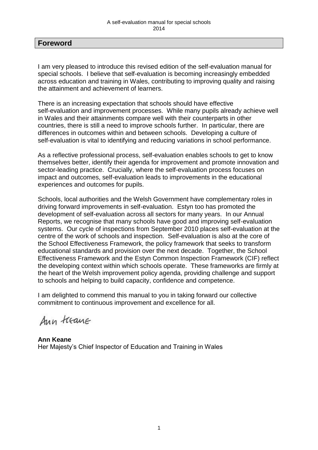## **Foreword**

I am very pleased to introduce this revised edition of the self-evaluation manual for special schools. I believe that self-evaluation is becoming increasingly embedded across education and training in Wales, contributing to improving quality and raising the attainment and achievement of learners.

There is an increasing expectation that schools should have effective self-evaluation and improvement processes. While many pupils already achieve well in Wales and their attainments compare well with their counterparts in other countries, there is still a need to improve schools further. In particular, there are differences in outcomes within and between schools. Developing a culture of self-evaluation is vital to identifying and reducing variations in school performance.

As a reflective professional process, self-evaluation enables schools to get to know themselves better, identify their agenda for improvement and promote innovation and sector-leading practice. Crucially, where the self-evaluation process focuses on impact and outcomes, self-evaluation leads to improvements in the educational experiences and outcomes for pupils.

Schools, local authorities and the Welsh Government have complementary roles in driving forward improvements in self-evaluation. Estyn too has promoted the development of self-evaluation across all sectors for many years. In our Annual Reports, we recognise that many schools have good and improving self-evaluation systems. Our cycle of inspections from September 2010 places self-evaluation at the centre of the work of schools and inspection. Self-evaluation is also at the core of the School Effectiveness Framework, the policy framework that seeks to transform educational standards and provision over the next decade. Together, the School Effectiveness Framework and the Estyn Common Inspection Framework (CIF) reflect the developing context within which schools operate. These frameworks are firmly at the heart of the Welsh improvement policy agenda, providing challenge and support to schools and helping to build capacity, confidence and competence.

I am delighted to commend this manual to you in taking forward our collective commitment to continuous improvement and excellence for all.

Ann treane

**Ann Keane**  Her Majesty's Chief Inspector of Education and Training in Wales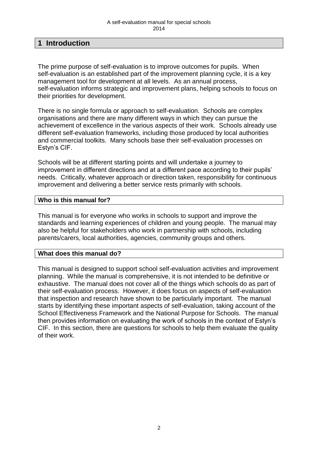## **1 Introduction**

The prime purpose of self-evaluation is to improve outcomes for pupils. When self-evaluation is an established part of the improvement planning cycle, it is a key management tool for development at all levels. As an annual process, self-evaluation informs strategic and improvement plans, helping schools to focus on their priorities for development.

There is no single formula or approach to self-evaluation. Schools are complex organisations and there are many different ways in which they can pursue the achievement of excellence in the various aspects of their work. Schools already use different self-evaluation frameworks, including those produced by local authorities and commercial toolkits. Many schools base their self-evaluation processes on Estyn's CIF.

Schools will be at different starting points and will undertake a journey to improvement in different directions and at a different pace according to their pupils' needs. Critically, whatever approach or direction taken, responsibility for continuous improvement and delivering a better service rests primarily with schools.

#### **Who is this manual for?**

This manual is for everyone who works in schools to support and improve the standards and learning experiences of children and young people. The manual may also be helpful for stakeholders who work in partnership with schools, including parents/carers, local authorities, agencies, community groups and others.

#### **What does this manual do?**

This manual is designed to support school self-evaluation activities and improvement planning. While the manual is comprehensive, it is not intended to be definitive or exhaustive. The manual does not cover all of the things which schools do as part of their self-evaluation process. However, it does focus on aspects of self-evaluation that inspection and research have shown to be particularly important. The manual starts by identifying these important aspects of self-evaluation, taking account of the School Effectiveness Framework and the National Purpose for Schools. The manual then provides information on evaluating the work of schools in the context of Estyn's CIF. In this section, there are questions for schools to help them evaluate the quality of their work.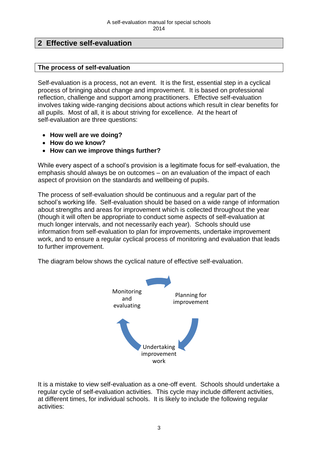## **2 Effective self-evaluation**

## **The process of self-evaluation**

Self-evaluation is a process, not an event. It is the first, essential step in a cyclical process of bringing about change and improvement. It is based on professional reflection, challenge and support among practitioners. Effective self-evaluation involves taking wide-ranging decisions about actions which result in clear benefits for all pupils. Most of all, it is about striving for excellence. At the heart of self-evaluation are three questions:

- **How well are we doing?**
- **How do we know?**
- **How can we improve things further?**

While every aspect of a school's provision is a legitimate focus for self-evaluation, the emphasis should always be on outcomes – on an evaluation of the impact of each aspect of provision on the standards and wellbeing of pupils.

The process of self-evaluation should be continuous and a regular part of the school's working life. Self-evaluation should be based on a wide range of information about strengths and areas for improvement which is collected throughout the year (though it will often be appropriate to conduct some aspects of self-evaluation at much longer intervals, and not necessarily each year). Schools should use information from self-evaluation to plan for improvements, undertake improvement work, and to ensure a regular cyclical process of monitoring and evaluation that leads to further improvement.

The diagram below shows the cyclical nature of effective self-evaluation.



It is a mistake to view self-evaluation as a one-off event. Schools should undertake a regular cycle of self-evaluation activities. This cycle may include different activities, at different times, for individual schools. It is likely to include the following regular activities: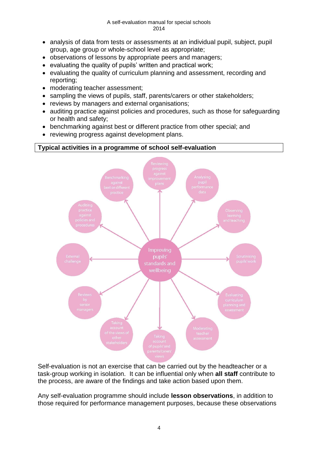- analysis of data from tests or assessments at an individual pupil, subject, pupil group, age group or whole-school level as appropriate;
- observations of lessons by appropriate peers and managers;
- evaluating the quality of pupils' written and practical work;
- evaluating the quality of curriculum planning and assessment, recording and reporting;
- moderating teacher assessment;
- sampling the views of pupils, staff, parents/carers or other stakeholders;
- reviews by managers and external organisations;
- auditing practice against policies and procedures, such as those for safeguarding or health and safety;
- benchmarking against best or different practice from other special; and
- reviewing progress against development plans.



Self-evaluation is not an exercise that can be carried out by the headteacher or a task-group working in isolation. It can be influential only when **all staff** contribute to the process, are aware of the findings and take action based upon them.

Any self-evaluation programme should include **lesson observations**, in addition to those required for performance management purposes, because these observations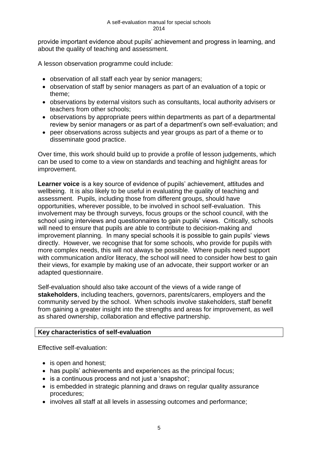provide important evidence about pupils' achievement and progress in learning, and about the quality of teaching and assessment.

A lesson observation programme could include:

- observation of all staff each year by senior managers;
- observation of staff by senior managers as part of an evaluation of a topic or theme;
- observations by external visitors such as consultants, local authority advisers or teachers from other schools;
- observations by appropriate peers within departments as part of a departmental review by senior managers or as part of a department's own self-evaluation; and
- peer observations across subjects and year groups as part of a theme or to disseminate good practice.

Over time, this work should build up to provide a profile of lesson judgements, which can be used to come to a view on standards and teaching and highlight areas for improvement.

Learner voice is a key source of evidence of pupils' achievement, attitudes and wellbeing. It is also likely to be useful in evaluating the quality of teaching and assessment. Pupils, including those from different groups, should have opportunities, wherever possible, to be involved in school self-evaluation. This involvement may be through surveys, focus groups or the school council, with the school using interviews and questionnaires to gain pupils' views. Critically, schools will need to ensure that pupils are able to contribute to decision-making and improvement planning. In many special schools it is possible to gain pupils' views directly. However, we recognise that for some schools, who provide for pupils with more complex needs, this will not always be possible. Where pupils need support with communication and/or literacy, the school will need to consider how best to gain their views, for example by making use of an advocate, their support worker or an adapted questionnaire.

Self-evaluation should also take account of the views of a wide range of **stakeholders**, including teachers, governors, parents/carers, employers and the community served by the school. When schools involve stakeholders, staff benefit from gaining a greater insight into the strengths and areas for improvement, as well as shared ownership, collaboration and effective partnership.

## **Key characteristics of self-evaluation**

Effective self-evaluation:

- is open and honest:
- has pupils' achievements and experiences as the principal focus;
- is a continuous process and not just a 'snapshot';
- is embedded in strategic planning and draws on regular quality assurance procedures;
- involves all staff at all levels in assessing outcomes and performance;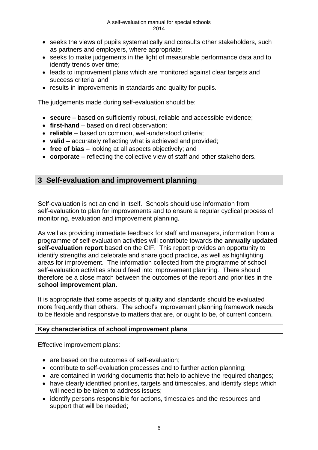- seeks the views of pupils systematically and consults other stakeholders, such as partners and employers, where appropriate;
- seeks to make judgements in the light of measurable performance data and to identify trends over time;
- leads to improvement plans which are monitored against clear targets and success criteria; and
- results in improvements in standards and quality for pupils.

The judgements made during self-evaluation should be:

- **secure** based on sufficiently robust, reliable and accessible evidence;
- **first-hand** based on direct observation;
- **reliable** based on common, well-understood criteria;
- **valid** accurately reflecting what is achieved and provided;
- **free of bias** looking at all aspects objectively; and
- **corporate** reflecting the collective view of staff and other stakeholders.

# **3 Self-evaluation and improvement planning**

Self-evaluation is not an end in itself. Schools should use information from self-evaluation to plan for improvements and to ensure a regular cyclical process of monitoring, evaluation and improvement planning.

As well as providing immediate feedback for staff and managers, information from a programme of self-evaluation activities will contribute towards the **annually updated self-evaluation report** based on the CIF. This report provides an opportunity to identify strengths and celebrate and share good practice, as well as highlighting areas for improvement. The information collected from the programme of school self-evaluation activities should feed into improvement planning. There should therefore be a close match between the outcomes of the report and priorities in the **school improvement plan**.

It is appropriate that some aspects of quality and standards should be evaluated more frequently than others. The school's improvement planning framework needs to be flexible and responsive to matters that are, or ought to be, of current concern.

## **Key characteristics of school improvement plans**

Effective improvement plans:

- are based on the outcomes of self-evaluation:
- contribute to self-evaluation processes and to further action planning;
- are contained in working documents that help to achieve the required changes;
- have clearly identified priorities, targets and timescales, and identify steps which will need to be taken to address issues;
- identify persons responsible for actions, timescales and the resources and support that will be needed;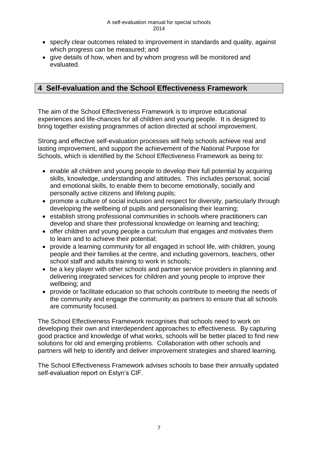- specify clear outcomes related to improvement in standards and quality, against which progress can be measured; and
- give details of how, when and by whom progress will be monitored and evaluated.

## **4 Self-evaluation and the School Effectiveness Framework**

The aim of the School Effectiveness Framework is to improve educational experiences and life-chances for all children and young people. It is designed to bring together existing programmes of action directed at school improvement.

Strong and effective self-evaluation processes will help schools achieve real and lasting improvement, and support the achievement of the National Purpose for Schools, which is identified by the School Effectiveness Framework as being to:

- enable all children and young people to develop their full potential by acquiring skills, knowledge, understanding and attitudes. This includes personal, social and emotional skills, to enable them to become emotionally, socially and personally active citizens and lifelong pupils;
- promote a culture of social inclusion and respect for diversity, particularly through developing the wellbeing of pupils and personalising their learning;
- establish strong professional communities in schools where practitioners can develop and share their professional knowledge on learning and teaching;
- offer children and young people a curriculum that engages and motivates them to learn and to achieve their potential;
- provide a learning community for all engaged in school life, with children, young people and their families at the centre, and including governors, teachers, other school staff and adults training to work in schools;
- be a key player with other schools and partner service providers in planning and delivering integrated services for children and young people to improve their wellbeing; and
- provide or facilitate education so that schools contribute to meeting the needs of the community and engage the community as partners to ensure that all schools are community focused.

The School Effectiveness Framework recognises that schools need to work on developing their own and interdependent approaches to effectiveness. By capturing good practice and knowledge of what works, schools will be better placed to find new solutions for old and emerging problems. Collaboration with other schools and partners will help to identify and deliver improvement strategies and shared learning.

The School Effectiveness Framework advises schools to base their annually updated self-evaluation report on Estyn's CIF.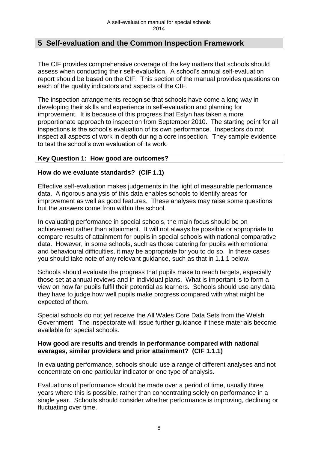## **5 Self-evaluation and the Common Inspection Framework**

The CIF provides comprehensive coverage of the key matters that schools should assess when conducting their self-evaluation. A school's annual self-evaluation report should be based on the CIF. This section of the manual provides questions on each of the quality indicators and aspects of the CIF.

The inspection arrangements recognise that schools have come a long way in developing their skills and experience in self-evaluation and planning for improvement. It is because of this progress that Estyn has taken a more proportionate approach to inspection from September 2010. The starting point for all inspections is the school's evaluation of its own performance. Inspectors do not inspect all aspects of work in depth during a core inspection. They sample evidence to test the school's own evaluation of its work.

## **Key Question 1: How good are outcomes?**

#### **How do we evaluate standards? (CIF 1.1)**

Effective self-evaluation makes judgements in the light of measurable performance data. A rigorous analysis of this data enables schools to identify areas for improvement as well as good features. These analyses may raise some questions but the answers come from within the school.

In evaluating performance in special schools, the main focus should be on achievement rather than attainment. It will not always be possible or appropriate to compare results of attainment for pupils in special schools with national comparative data. However, in some schools, such as those catering for pupils with emotional and behavioural difficulties, it may be appropriate for you to do so. In these cases you should take note of any relevant guidance, such as that in 1.1.1 below.

Schools should evaluate the progress that pupils make to reach targets, especially those set at annual reviews and in individual plans. What is important is to form a view on how far pupils fulfil their potential as learners. Schools should use any data they have to judge how well pupils make progress compared with what might be expected of them.

Special schools do not yet receive the All Wales Core Data Sets from the Welsh Government. The inspectorate will issue further guidance if these materials become available for special schools.

#### **How good are results and trends in performance compared with national averages, similar providers and prior attainment? (CIF 1.1.1)**

In evaluating performance, schools should use a range of different analyses and not concentrate on one particular indicator or one type of analysis.

Evaluations of performance should be made over a period of time, usually three years where this is possible, rather than concentrating solely on performance in a single year. Schools should consider whether performance is improving, declining or fluctuating over time.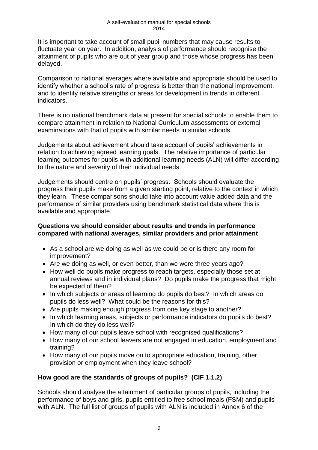It is important to take account of small pupil numbers that may cause results to fluctuate year on year. In addition, analysis of performance should recognise the attainment of pupils who are out of year group and those whose progress has been delayed.

Comparison to national averages where available and appropriate should be used to identify whether a school's rate of progress is better than the national improvement, and to identify relative strengths or areas for development in trends in different indicators.

There is no national benchmark data at present for special schools to enable them to compare attainment in relation to National Curriculum assessments or external examinations with that of pupils with similar needs in similar schools.

Judgements about achievement should take account of pupils' achievements in relation to achieving agreed learning goals. The relative importance of particular learning outcomes for pupils with additional learning needs (ALN) will differ according to the nature and severity of their individual needs.

Judgements should centre on pupils' progress. Schools should evaluate the progress their pupils make from a given starting point, relative to the context in which they learn. These comparisons should take into account value added data and the performance of similar providers using benchmark statistical data where this is available and appropriate.

## **Questions we should consider about results and trends in performance compared with national averages, similar providers and prior attainment**

- As a school are we doing as well as we could be or is there any room for improvement?
- Are we doing as well, or even better, than we were three years ago?
- How well do pupils make progress to reach targets, especially those set at annual reviews and in individual plans? Do pupils make the progress that might be expected of them?
- In which subjects or areas of learning do pupils do best? In which areas do pupils do less well? What could be the reasons for this?
- Are pupils making enough progress from one key stage to another?
- In which learning areas, subjects or performance indicators do pupils do best? In which do they do less well?
- How many of our pupils leave school with recognised qualifications?
- How many of our school leavers are not engaged in education, employment and training?
- How many of our pupils move on to appropriate education, training, other provision or employment when they leave school?

## **How good are the standards of groups of pupils? (CIF 1.1.2)**

Schools should analyse the attainment of particular groups of pupils, including the performance of boys and girls, pupils entitled to free school meals (FSM) and pupils with ALN. The full list of groups of pupils with ALN is included in Annex 6 of the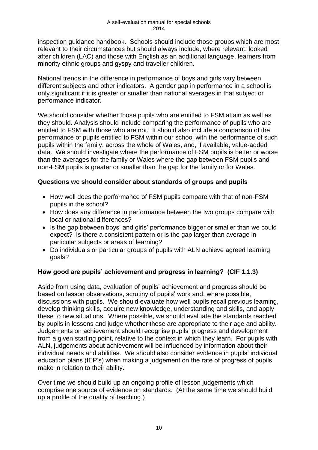inspection guidance handbook. Schools should include those groups which are most relevant to their circumstances but should always include, where relevant, looked after children (LAC) and those with English as an additional language, learners from minority ethnic groups and gyspy and traveller children.

National trends in the difference in performance of boys and girls vary between different subjects and other indicators. A gender gap in performance in a school is only significant if it is greater or smaller than national averages in that subject or performance indicator.

We should consider whether those pupils who are entitled to FSM attain as well as they should. Analysis should include comparing the performance of pupils who are entitled to FSM with those who are not. It should also include a comparison of the performance of pupils entitled to FSM within our school with the performance of such pupils within the family, across the whole of Wales, and, if available, value-added data. We should investigate where the performance of FSM pupils is better or worse than the averages for the family or Wales where the gap between FSM pupils and non-FSM pupils is greater or smaller than the gap for the family or for Wales.

## **Questions we should consider about standards of groups and pupils**

- How well does the performance of FSM pupils compare with that of non-FSM pupils in the school?
- How does any difference in performance between the two groups compare with local or national differences?
- Is the gap between boys' and girls' performance bigger or smaller than we could expect? Is there a consistent pattern or is the gap larger than average in particular subjects or areas of learning?
- Do individuals or particular groups of pupils with ALN achieve agreed learning goals?

## **How good are pupils' achievement and progress in learning? (CIF 1.1.3)**

Aside from using data, evaluation of pupils' achievement and progress should be based on lesson observations, scrutiny of pupils' work and, where possible, discussions with pupils. We should evaluate how well pupils recall previous learning, develop thinking skills, acquire new knowledge, understanding and skills, and apply these to new situations. Where possible, we should evaluate the standards reached by pupils in lessons and judge whether these are appropriate to their age and ability. Judgements on achievement should recognise pupils' progress and development from a given starting point, relative to the context in which they learn. For pupils with ALN, judgements about achievement will be influenced by information about their individual needs and abilities. We should also consider evidence in pupils' individual education plans (IEP's) when making a judgement on the rate of progress of pupils make in relation to their ability.

Over time we should build up an ongoing profile of lesson judgements which comprise one source of evidence on standards. (At the same time we should build up a profile of the quality of teaching.)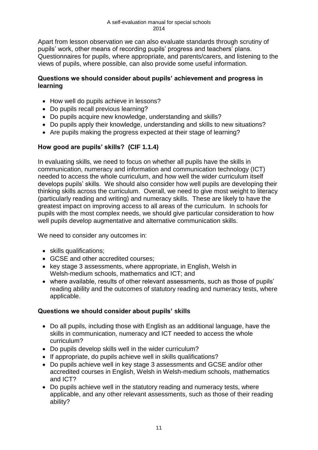Apart from lesson observation we can also evaluate standards through scrutiny of pupils' work, other means of recording pupils' progress and teachers' plans. Questionnaires for pupils, where appropriate, and parents/carers, and listening to the views of pupils, where possible, can also provide some useful information.

## **Questions we should consider about pupils' achievement and progress in learning**

- How well do pupils achieve in lessons?
- Do pupils recall previous learning?
- Do pupils acquire new knowledge, understanding and skills?
- Do pupils apply their knowledge, understanding and skills to new situations?
- Are pupils making the progress expected at their stage of learning?

## **How good are pupils' skills? (CIF 1.1.4)**

In evaluating skills, we need to focus on whether all pupils have the skills in communication, numeracy and information and communication technology (ICT) needed to access the whole curriculum, and how well the wider curriculum itself develops pupils' skills. We should also consider how well pupils are developing their thinking skills across the curriculum. Overall, we need to give most weight to literacy (particularly reading and writing) and numeracy skills. These are likely to have the greatest impact on improving access to all areas of the curriculum. In schools for pupils with the most complex needs, we should give particular consideration to how well pupils develop augmentative and alternative communication skills.

We need to consider any outcomes in:

- skills qualifications;
- GCSE and other accredited courses;
- key stage 3 assessments, where appropriate, in English, Welsh in Welsh-medium schools, mathematics and ICT; and
- where available, results of other relevant assessments, such as those of pupils' reading ability and the outcomes of statutory reading and numeracy tests, where applicable.

## **Questions we should consider about pupils' skills**

- Do all pupils, including those with English as an additional language, have the skills in communication, numeracy and ICT needed to access the whole curriculum?
- Do pupils develop skills well in the wider curriculum?
- If appropriate, do pupils achieve well in skills qualifications?
- Do pupils achieve well in key stage 3 assessments and GCSE and/or other accredited courses in English, Welsh in Welsh-medium schools, mathematics and ICT?
- Do pupils achieve well in the statutory reading and numeracy tests, where applicable, and any other relevant assessments, such as those of their reading ability?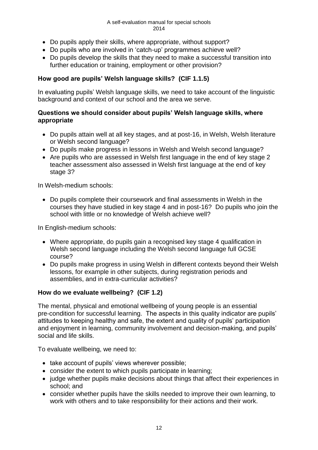#### A self-evaluation manual for special schools 2014

- Do pupils apply their skills, where appropriate, without support?
- Do pupils who are involved in 'catch-up' programmes achieve well?
- Do pupils develop the skills that they need to make a successful transition into further education or training, employment or other provision?

## **How good are pupils' Welsh language skills? (CIF 1.1.5)**

In evaluating pupils' Welsh language skills, we need to take account of the linguistic background and context of our school and the area we serve.

#### **Questions we should consider about pupils' Welsh language skills, where appropriate**

- Do pupils attain well at all key stages, and at post-16, in Welsh, Welsh literature or Welsh second language?
- Do pupils make progress in lessons in Welsh and Welsh second language?
- $\bullet$  Are pupils who are assessed in Welsh first language in the end of key stage 2 teacher assessment also assessed in Welsh first language at the end of key stage 3?

In Welsh-medium schools:

 Do pupils complete their coursework and final assessments in Welsh in the courses they have studied in key stage 4 and in post-16? Do pupils who join the school with little or no knowledge of Welsh achieve well?

In English-medium schools:

- Where appropriate, do pupils gain a recognised key stage 4 qualification in Welsh second language including the Welsh second language full GCSE course?
- Do pupils make progress in using Welsh in different contexts beyond their Welsh lessons, for example in other subjects, during registration periods and assemblies, and in extra-curricular activities?

## **How do we evaluate wellbeing? (CIF 1.2)**

The mental, physical and emotional wellbeing of young people is an essential pre-condition for successful learning. The aspects in this quality indicator are pupils' attitudes to keeping healthy and safe, the extent and quality of pupils' participation and enjoyment in learning, community involvement and decision-making, and pupils' social and life skills.

To evaluate wellbeing, we need to:

- take account of pupils' views wherever possible;
- consider the extent to which pupils participate in learning;
- judge whether pupils make decisions about things that affect their experiences in school; and
- consider whether pupils have the skills needed to improve their own learning, to work with others and to take responsibility for their actions and their work.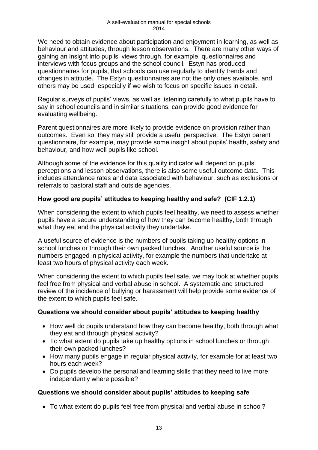We need to obtain evidence about participation and enjoyment in learning, as well as behaviour and attitudes, through lesson observations. There are many other ways of gaining an insight into pupils' views through, for example, questionnaires and interviews with focus groups and the school council. Estyn has produced questionnaires for pupils, that schools can use regularly to identify trends and changes in attitude. The Estyn questionnaires are not the only ones available, and others may be used, especially if we wish to focus on specific issues in detail.

Regular surveys of pupils' views, as well as listening carefully to what pupils have to say in school councils and in similar situations, can provide good evidence for evaluating wellbeing.

Parent questionnaires are more likely to provide evidence on provision rather than outcomes. Even so, they may still provide a useful perspective. The Estyn parent questionnaire, for example, may provide some insight about pupils' health, safety and behaviour, and how well pupils like school.

Although some of the evidence for this quality indicator will depend on pupils' perceptions and lesson observations, there is also some useful outcome data. This includes attendance rates and data associated with behaviour, such as exclusions or referrals to pastoral staff and outside agencies.

## **How good are pupils' attitudes to keeping healthy and safe? (CIF 1.2.1)**

When considering the extent to which pupils feel healthy, we need to assess whether pupils have a secure understanding of how they can become healthy, both through what they eat and the physical activity they undertake.

A useful source of evidence is the numbers of pupils taking up healthy options in school lunches or through their own packed lunches. Another useful source is the numbers engaged in physical activity, for example the numbers that undertake at least two hours of physical activity each week.

When considering the extent to which pupils feel safe, we may look at whether pupils feel free from physical and verbal abuse in school. A systematic and structured review of the incidence of bullying or harassment will help provide some evidence of the extent to which pupils feel safe.

#### **Questions we should consider about pupils' attitudes to keeping healthy**

- How well do pupils understand how they can become healthy, both through what they eat and through physical activity?
- To what extent do pupils take up healthy options in school lunches or through their own packed lunches?
- How many pupils engage in regular physical activity, for example for at least two hours each week?
- Do pupils develop the personal and learning skills that they need to live more independently where possible?

## **Questions we should consider about pupils' attitudes to keeping safe**

To what extent do pupils feel free from physical and verbal abuse in school?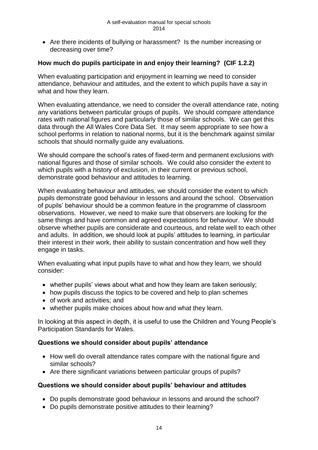Are there incidents of bullying or harassment? Is the number increasing or decreasing over time?

## **How much do pupils participate in and enjoy their learning? (CIF 1.2.2)**

When evaluating participation and enjoyment in learning we need to consider attendance, behaviour and attitudes, and the extent to which pupils have a say in what and how they learn.

When evaluating attendance, we need to consider the overall attendance rate, noting any variations between particular groups of pupils. We should compare attendance rates with national figures and particularly those of similar schools. We can get this data through the All Wales Core Data Set. It may seem appropriate to see how a school performs in relation to national norms, but it is the benchmark against similar schools that should normally guide any evaluations.

We should compare the school's rates of fixed-term and permanent exclusions with national figures and those of similar schools. We could also consider the extent to which pupils with a history of exclusion, in their current or previous school, demonstrate good behaviour and attitudes to learning.

When evaluating behaviour and attitudes, we should consider the extent to which pupils demonstrate good behaviour in lessons and around the school. Observation of pupils' behaviour should be a common feature in the programme of classroom observations. However, we need to make sure that observers are looking for the same things and have common and agreed expectations for behaviour. We should observe whether pupils are considerate and courteous, and relate well to each other and adults. In addition, we should look at pupils' attitudes to learning, in particular their interest in their work, their ability to sustain concentration and how well they engage in tasks.

When evaluating what input pupils have to what and how they learn, we should consider:

- whether pupils' views about what and how they learn are taken seriously;
- how pupils discuss the topics to be covered and help to plan schemes
- of work and activities; and
- whether pupils make choices about how and what they learn.

In looking at this aspect in depth, it is useful to use the Children and Young People's Participation Standards for Wales.

## **Questions we should consider about pupils' attendance**

- How well do overall attendance rates compare with the national figure and similar schools?
- Are there significant variations between particular groups of pupils?

#### **Questions we should consider about pupils' behaviour and attitudes**

- Do pupils demonstrate good behaviour in lessons and around the school?
- Do pupils demonstrate positive attitudes to their learning?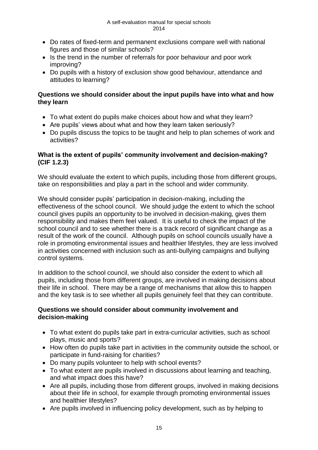- Do rates of fixed-term and permanent exclusions compare well with national figures and those of similar schools?
- Is the trend in the number of referrals for poor behaviour and poor work improving?
- Do pupils with a history of exclusion show good behaviour, attendance and attitudes to learning?

## **Questions we should consider about the input pupils have into what and how they learn**

- To what extent do pupils make choices about how and what they learn?
- Are pupils' views about what and how they learn taken seriously?
- Do pupils discuss the topics to be taught and help to plan schemes of work and activities?

## **What is the extent of pupils' community involvement and decision-making? (CIF 1.2.3)**

We should evaluate the extent to which pupils, including those from different groups, take on responsibilities and play a part in the school and wider community.

We should consider pupils' participation in decision-making, including the effectiveness of the school council. We should judge the extent to which the school council gives pupils an opportunity to be involved in decision-making, gives them responsibility and makes them feel valued. It is useful to check the impact of the school council and to see whether there is a track record of significant change as a result of the work of the council. Although pupils on school councils usually have a role in promoting environmental issues and healthier lifestyles, they are less involved in activities concerned with inclusion such as anti-bullying campaigns and bullying control systems.

In addition to the school council, we should also consider the extent to which all pupils, including those from different groups, are involved in making decisions about their life in school. There may be a range of mechanisms that allow this to happen and the key task is to see whether all pupils genuinely feel that they can contribute.

## **Questions we should consider about community involvement and decision-making**

- To what extent do pupils take part in extra-curricular activities, such as school plays, music and sports?
- How often do pupils take part in activities in the community outside the school, or participate in fund-raising for charities?
- Do many pupils volunteer to help with school events?
- To what extent are pupils involved in discussions about learning and teaching, and what impact does this have?
- Are all pupils, including those from different groups, involved in making decisions about their life in school, for example through promoting environmental issues and healthier lifestyles?
- Are pupils involved in influencing policy development, such as by helping to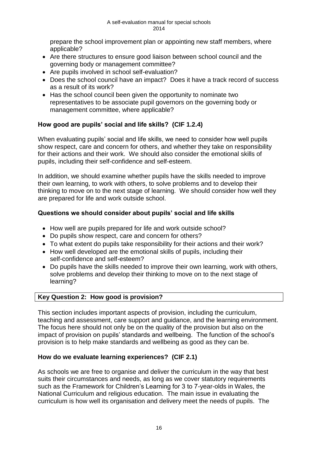prepare the school improvement plan or appointing new staff members, where applicable?

- Are there structures to ensure good liaison between school council and the governing body or management committee?
- Are pupils involved in school self-evaluation?
- Does the school council have an impact? Does it have a track record of success as a result of its work?
- Has the school council been given the opportunity to nominate two representatives to be associate pupil governors on the governing body or management committee, where applicable?

## **How good are pupils' social and life skills? (CIF 1.2.4)**

When evaluating pupils' social and life skills, we need to consider how well pupils show respect, care and concern for others, and whether they take on responsibility for their actions and their work. We should also consider the emotional skills of pupils, including their self-confidence and self-esteem.

In addition, we should examine whether pupils have the skills needed to improve their own learning, to work with others, to solve problems and to develop their thinking to move on to the next stage of learning. We should consider how well they are prepared for life and work outside school.

## **Questions we should consider about pupils' social and life skills**

- How well are pupils prepared for life and work outside school?
- Do pupils show respect, care and concern for others?
- To what extent do pupils take responsibility for their actions and their work?
- How well developed are the emotional skills of pupils, including their self-confidence and self-esteem?
- Do pupils have the skills needed to improve their own learning, work with others, solve problems and develop their thinking to move on to the next stage of learning?

## **Key Question 2: How good is provision?**

This section includes important aspects of provision, including the curriculum, teaching and assessment, care support and guidance, and the learning environment. The focus here should not only be on the quality of the provision but also on the impact of provision on pupils' standards and wellbeing. The function of the school's provision is to help make standards and wellbeing as good as they can be.

## **How do we evaluate learning experiences? (CIF 2.1)**

As schools we are free to organise and deliver the curriculum in the way that best suits their circumstances and needs, as long as we cover statutory requirements such as the Framework for Children's Learning for 3 to 7-year-olds in Wales, the National Curriculum and religious education. The main issue in evaluating the curriculum is how well its organisation and delivery meet the needs of pupils. The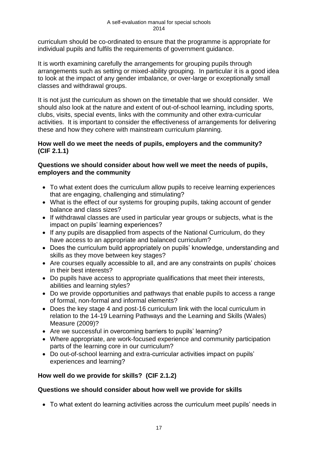curriculum should be co-ordinated to ensure that the programme is appropriate for individual pupils and fulfils the requirements of government guidance.

It is worth examining carefully the arrangements for grouping pupils through arrangements such as setting or mixed-ability grouping. In particular it is a good idea to look at the impact of any gender imbalance, or over-large or exceptionally small classes and withdrawal groups.

It is not just the curriculum as shown on the timetable that we should consider. We should also look at the nature and extent of out-of-school learning, including sports, clubs, visits, special events, links with the community and other extra-curricular activities. It is important to consider the effectiveness of arrangements for delivering these and how they cohere with mainstream curriculum planning.

## **How well do we meet the needs of pupils, employers and the community? (CIF 2.1.1)**

## **Questions we should consider about how well we meet the needs of pupils, employers and the community**

- To what extent does the curriculum allow pupils to receive learning experiences that are engaging, challenging and stimulating?
- What is the effect of our systems for grouping pupils, taking account of gender balance and class sizes?
- If withdrawal classes are used in particular year groups or subjects, what is the impact on pupils' learning experiences?
- If any pupils are disapplied from aspects of the National Curriculum, do they have access to an appropriate and balanced curriculum?
- Does the curriculum build appropriately on pupils' knowledge, understanding and skills as they move between key stages?
- Are courses equally accessible to all, and are any constraints on pupils' choices in their best interests?
- Do pupils have access to appropriate qualifications that meet their interests, abilities and learning styles?
- Do we provide opportunities and pathways that enable pupils to access a range of formal, non-formal and informal elements?
- Does the key stage 4 and post-16 curriculum link with the local curriculum in relation to the 14-19 Learning Pathways and the Learning and Skills (Wales) Measure (2009)?
- Are we successful in overcoming barriers to pupils' learning?
- Where appropriate, are work-focused experience and community participation parts of the learning core in our curriculum?
- Do out-of-school learning and extra-curricular activities impact on pupils' experiences and learning?

## **How well do we provide for skills? (CIF 2.1.2)**

## **Questions we should consider about how well we provide for skills**

To what extent do learning activities across the curriculum meet pupils' needs in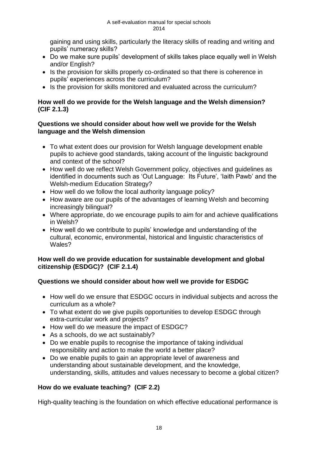gaining and using skills, particularly the literacy skills of reading and writing and pupils' numeracy skills?

- Do we make sure pupils' development of skills takes place equally well in Welsh and/or English?
- Is the provision for skills properly co-ordinated so that there is coherence in pupils' experiences across the curriculum?
- Is the provision for skills monitored and evaluated across the curriculum?

## **How well do we provide for the Welsh language and the Welsh dimension? (CIF 2.1.3)**

## **Questions we should consider about how well we provide for the Welsh language and the Welsh dimension**

- To what extent does our provision for Welsh language development enable pupils to achieve good standards, taking account of the linguistic background and context of the school?
- How well do we reflect Welsh Government policy, objectives and quidelines as identified in documents such as 'Out Language: Its Future', 'Iaith Pawb' and the Welsh-medium Education Strategy?
- How well do we follow the local authority language policy?
- How aware are our pupils of the advantages of learning Welsh and becoming increasingly bilingual?
- Where appropriate, do we encourage pupils to aim for and achieve qualifications in Welsh?
- How well do we contribute to pupils' knowledge and understanding of the cultural, economic, environmental, historical and linguistic characteristics of Wales?

## **How well do we provide education for sustainable development and global citizenship (ESDGC)? (CIF 2.1.4)**

## **Questions we should consider about how well we provide for ESDGC**

- How well do we ensure that ESDGC occurs in individual subjects and across the curriculum as a whole?
- To what extent do we give pupils opportunities to develop ESDGC through extra-curricular work and projects?
- How well do we measure the impact of ESDGC?
- As a schools, do we act sustainably?
- Do we enable pupils to recognise the importance of taking individual responsibility and action to make the world a better place?
- Do we enable pupils to gain an appropriate level of awareness and understanding about sustainable development, and the knowledge, understanding, skills, attitudes and values necessary to become a global citizen?

## **How do we evaluate teaching? (CIF 2.2)**

High-quality teaching is the foundation on which effective educational performance is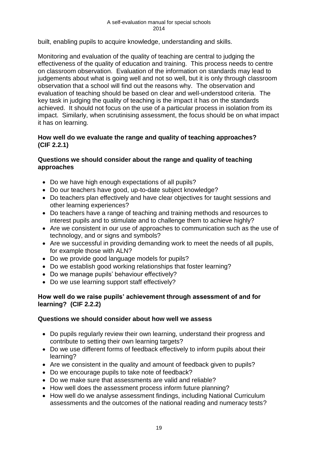built, enabling pupils to acquire knowledge, understanding and skills.

Monitoring and evaluation of the quality of teaching are central to judging the effectiveness of the quality of education and training. This process needs to centre on classroom observation. Evaluation of the information on standards may lead to judgements about what is going well and not so well, but it is only through classroom observation that a school will find out the reasons why. The observation and evaluation of teaching should be based on clear and well-understood criteria. The key task in judging the quality of teaching is the impact it has on the standards achieved. It should not focus on the use of a particular process in isolation from its impact. Similarly, when scrutinising assessment, the focus should be on what impact it has on learning.

## **How well do we evaluate the range and quality of teaching approaches? (CIF 2.2.1)**

## **Questions we should consider about the range and quality of teaching approaches**

- Do we have high enough expectations of all pupils?
- Do our teachers have good, up-to-date subject knowledge?
- Do teachers plan effectively and have clear objectives for taught sessions and other learning experiences?
- Do teachers have a range of teaching and training methods and resources to interest pupils and to stimulate and to challenge them to achieve highly?
- Are we consistent in our use of approaches to communication such as the use of technology, and or signs and symbols?
- Are we successful in providing demanding work to meet the needs of all pupils, for example those with ALN?
- Do we provide good language models for pupils?
- Do we establish good working relationships that foster learning?
- Do we manage pupils' behaviour effectively?
- Do we use learning support staff effectively?

#### **How well do we raise pupils' achievement through assessment of and for learning? (CIF 2.2.2)**

#### **Questions we should consider about how well we assess**

- Do pupils regularly review their own learning, understand their progress and contribute to setting their own learning targets?
- Do we use different forms of feedback effectively to inform pupils about their learning?
- Are we consistent in the quality and amount of feedback given to pupils?
- Do we encourage pupils to take note of feedback?
- Do we make sure that assessments are valid and reliable?
- How well does the assessment process inform future planning?
- How well do we analyse assessment findings, including National Curriculum assessments and the outcomes of the national reading and numeracy tests?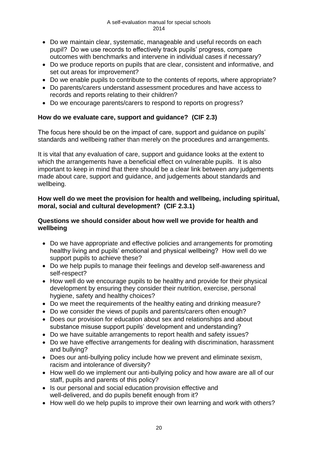- Do we maintain clear, systematic, manageable and useful records on each pupil? Do we use records to effectively track pupils' progress, compare outcomes with benchmarks and intervene in individual cases if necessary?
- Do we produce reports on pupils that are clear, consistent and informative, and set out areas for improvement?
- Do we enable pupils to contribute to the contents of reports, where appropriate?
- Do parents/carers understand assessment procedures and have access to records and reports relating to their children?
- Do we encourage parents/carers to respond to reports on progress?

## **How do we evaluate care, support and guidance? (CIF 2.3)**

The focus here should be on the impact of care, support and guidance on pupils' standards and wellbeing rather than merely on the procedures and arrangements.

It is vital that any evaluation of care, support and guidance looks at the extent to which the arrangements have a beneficial effect on vulnerable pupils. It is also important to keep in mind that there should be a clear link between any judgements made about care, support and guidance, and judgements about standards and wellbeing.

## **How well do we meet the provision for health and wellbeing, including spiritual, moral, social and cultural development? (CIF 2.3.1)**

## **Questions we should consider about how well we provide for health and wellbeing**

- Do we have appropriate and effective policies and arrangements for promoting healthy living and pupils' emotional and physical wellbeing? How well do we support pupils to achieve these?
- Do we help pupils to manage their feelings and develop self-awareness and self-respect?
- How well do we encourage pupils to be healthy and provide for their physical development by ensuring they consider their nutrition, exercise, personal hygiene, safety and healthy choices?
- Do we meet the requirements of the healthy eating and drinking measure?
- Do we consider the views of pupils and parents/carers often enough?
- Does our provision for education about sex and relationships and about substance misuse support pupils' development and understanding?
- Do we have suitable arrangements to report health and safety issues?
- Do we have effective arrangements for dealing with discrimination, harassment and bullying?
- Does our anti-bullying policy include how we prevent and eliminate sexism, racism and intolerance of diversity?
- How well do we implement our anti-bullying policy and how aware are all of our staff, pupils and parents of this policy?
- Is our personal and social education provision effective and well-delivered, and do pupils benefit enough from it?
- How well do we help pupils to improve their own learning and work with others?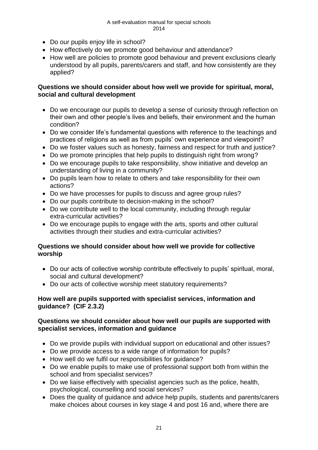#### A self-evaluation manual for special schools 2014

- Do our pupils enjoy life in school?
- How effectively do we promote good behaviour and attendance?
- How well are policies to promote good behaviour and prevent exclusions clearly understood by all pupils, parents/carers and staff, and how consistently are they applied?

#### **Questions we should consider about how well we provide for spiritual, moral, social and cultural development**

- Do we encourage our pupils to develop a sense of curiosity through reflection on their own and other people's lives and beliefs, their environment and the human condition?
- Do we consider life's fundamental questions with reference to the teachings and practices of religions as well as from pupils' own experience and viewpoint?
- Do we foster values such as honesty, fairness and respect for truth and justice?
- Do we promote principles that help pupils to distinguish right from wrong?
- Do we encourage pupils to take responsibility, show initiative and develop an understanding of living in a community?
- Do pupils learn how to relate to others and take responsibility for their own actions?
- Do we have processes for pupils to discuss and agree group rules?
- Do our pupils contribute to decision-making in the school?
- Do we contribute well to the local community, including through regular extra-curricular activities?
- Do we encourage pupils to engage with the arts, sports and other cultural activities through their studies and extra-curricular activities?

## **Questions we should consider about how well we provide for collective worship**

- Do our acts of collective worship contribute effectively to pupils' spiritual, moral, social and cultural development?
- Do our acts of collective worship meet statutory requirements?

## **How well are pupils supported with specialist services, information and guidance? (CIF 2.3.2)**

#### **Questions we should consider about how well our pupils are supported with specialist services, information and guidance**

- Do we provide pupils with individual support on educational and other issues?
- Do we provide access to a wide range of information for pupils?
- How well do we fulfil our responsibilities for quidance?
- Do we enable pupils to make use of professional support both from within the school and from specialist services?
- Do we liaise effectively with specialist agencies such as the police, health, psychological, counselling and social services?
- Does the quality of guidance and advice help pupils, students and parents/carers make choices about courses in key stage 4 and post 16 and, where there are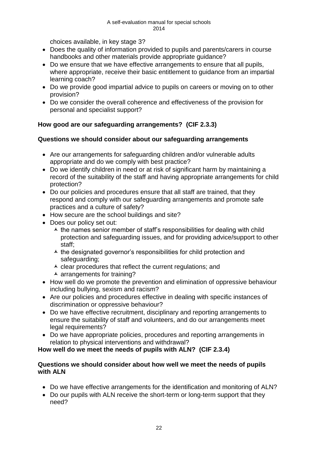choices available, in key stage 3?

- Does the quality of information provided to pupils and parents/carers in course handbooks and other materials provide appropriate guidance?
- Do we ensure that we have effective arrangements to ensure that all pupils, where appropriate, receive their basic entitlement to guidance from an impartial learning coach?
- Do we provide good impartial advice to pupils on careers or moving on to other provision?
- Do we consider the overall coherence and effectiveness of the provision for personal and specialist support?

## **How good are our safeguarding arrangements? (CIF 2.3.3)**

## **Questions we should consider about our safeguarding arrangements**

- Are our arrangements for safeguarding children and/or vulnerable adults appropriate and do we comply with best practice?
- Do we identify children in need or at risk of significant harm by maintaining a record of the suitability of the staff and having appropriate arrangements for child protection?
- Do our policies and procedures ensure that all staff are trained, that they respond and comply with our safeguarding arrangements and promote safe practices and a culture of safety?
- How secure are the school buildings and site?
- Does our policy set out:
	- $\overline{\phantom{a}}$  the names senior member of staff's responsibilities for dealing with child protection and safeguarding issues, and for providing advice/support to other staff;
	- $\overline{\phantom{a}}$  the designated governor's responsibilities for child protection and safeguarding;
	- $\lambda$  clear procedures that reflect the current regulations; and
	- $\overline{\phantom{a}}$  arrangements for training?
- How well do we promote the prevention and elimination of oppressive behaviour including bullying, sexism and racism?
- Are our policies and procedures effective in dealing with specific instances of discrimination or oppressive behaviour?
- Do we have effective recruitment, disciplinary and reporting arrangements to ensure the suitability of staff and volunteers, and do our arrangements meet legal requirements?
- Do we have appropriate policies, procedures and reporting arrangements in relation to physical interventions and withdrawal?

## **How well do we meet the needs of pupils with ALN? (CIF 2.3.4)**

#### **Questions we should consider about how well we meet the needs of pupils with ALN**

- Do we have effective arrangements for the identification and monitoring of ALN?
- Do our pupils with ALN receive the short-term or long-term support that they need?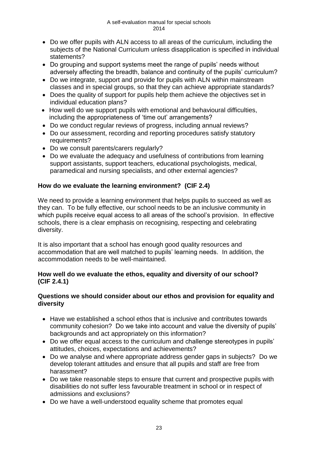- Do we offer pupils with ALN access to all areas of the curriculum, including the subjects of the National Curriculum unless disapplication is specified in individual statements?
- Do grouping and support systems meet the range of pupils' needs without adversely affecting the breadth, balance and continuity of the pupils' curriculum?
- Do we integrate, support and provide for pupils with ALN within mainstream classes and in special groups, so that they can achieve appropriate standards?
- Does the quality of support for pupils help them achieve the objectives set in individual education plans?
- How well do we support pupils with emotional and behavioural difficulties, including the appropriateness of 'time out' arrangements?
- Do we conduct regular reviews of progress, including annual reviews?
- Do our assessment, recording and reporting procedures satisfy statutory requirements?
- Do we consult parents/carers regularly?
- Do we evaluate the adequacy and usefulness of contributions from learning support assistants, support teachers, educational psychologists, medical, paramedical and nursing specialists, and other external agencies?

## **How do we evaluate the learning environment? (CIF 2.4)**

We need to provide a learning environment that helps pupils to succeed as well as they can. To be fully effective, our school needs to be an inclusive community in which pupils receive equal access to all areas of the school's provision. In effective schools, there is a clear emphasis on recognising, respecting and celebrating diversity.

It is also important that a school has enough good quality resources and accommodation that are well matched to pupils' learning needs. In addition, the accommodation needs to be well-maintained.

## **How well do we evaluate the ethos, equality and diversity of our school? (CIF 2.4.1)**

## **Questions we should consider about our ethos and provision for equality and diversity**

- Have we established a school ethos that is inclusive and contributes towards community cohesion? Do we take into account and value the diversity of pupils' backgrounds and act appropriately on this information?
- Do we offer equal access to the curriculum and challenge stereotypes in pupils' attitudes, choices, expectations and achievements?
- Do we analyse and where appropriate address gender gaps in subjects? Do we develop tolerant attitudes and ensure that all pupils and staff are free from harassment?
- Do we take reasonable steps to ensure that current and prospective pupils with disabilities do not suffer less favourable treatment in school or in respect of admissions and exclusions?
- Do we have a well-understood equality scheme that promotes equal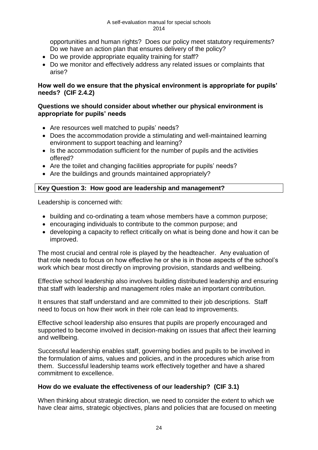opportunities and human rights? Does our policy meet statutory requirements? Do we have an action plan that ensures delivery of the policy?

- Do we provide appropriate equality training for staff?
- Do we monitor and effectively address any related issues or complaints that arise?

## **How well do we ensure that the physical environment is appropriate for pupils' needs? (CIF 2.4.2)**

#### **Questions we should consider about whether our physical environment is appropriate for pupils' needs**

- Are resources well matched to pupils' needs?
- Does the accommodation provide a stimulating and well-maintained learning environment to support teaching and learning?
- Is the accommodation sufficient for the number of pupils and the activities offered?
- Are the toilet and changing facilities appropriate for pupils' needs?
- Are the buildings and grounds maintained appropriately?

## **Key Question 3: How good are leadership and management?**

Leadership is concerned with:

- building and co-ordinating a team whose members have a common purpose;
- encouraging individuals to contribute to the common purpose; and
- developing a capacity to reflect critically on what is being done and how it can be improved.

The most crucial and central role is played by the headteacher. Any evaluation of that role needs to focus on how effective he or she is in those aspects of the school's work which bear most directly on improving provision, standards and wellbeing.

Effective school leadership also involves building distributed leadership and ensuring that staff with leadership and management roles make an important contribution.

It ensures that staff understand and are committed to their job descriptions. Staff need to focus on how their work in their role can lead to improvements.

Effective school leadership also ensures that pupils are properly encouraged and supported to become involved in decision-making on issues that affect their learning and wellbeing.

Successful leadership enables staff, governing bodies and pupils to be involved in the formulation of aims, values and policies, and in the procedures which arise from them. Successful leadership teams work effectively together and have a shared commitment to excellence.

#### **How do we evaluate the effectiveness of our leadership? (CIF 3.1)**

When thinking about strategic direction, we need to consider the extent to which we have clear aims, strategic objectives, plans and policies that are focused on meeting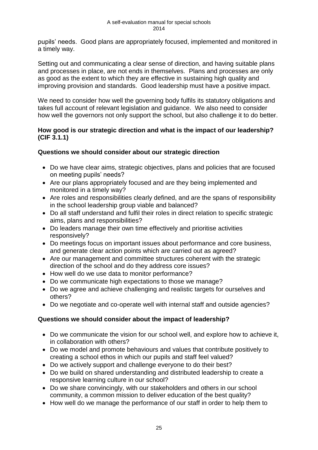pupils' needs. Good plans are appropriately focused, implemented and monitored in a timely way.

Setting out and communicating a clear sense of direction, and having suitable plans and processes in place, are not ends in themselves. Plans and processes are only as good as the extent to which they are effective in sustaining high quality and improving provision and standards. Good leadership must have a positive impact.

We need to consider how well the governing body fulfils its statutory obligations and takes full account of relevant legislation and guidance. We also need to consider how well the governors not only support the school, but also challenge it to do better.

## **How good is our strategic direction and what is the impact of our leadership? (CIF 3.1.1)**

## **Questions we should consider about our strategic direction**

- Do we have clear aims, strategic objectives, plans and policies that are focused on meeting pupils' needs?
- Are our plans appropriately focused and are they being implemented and monitored in a timely way?
- Are roles and responsibilities clearly defined, and are the spans of responsibility in the school leadership group viable and balanced?
- Do all staff understand and fulfil their roles in direct relation to specific strategic aims, plans and responsibilities?
- Do leaders manage their own time effectively and prioritise activities responsively?
- Do meetings focus on important issues about performance and core business, and generate clear action points which are carried out as agreed?
- Are our management and committee structures coherent with the strategic direction of the school and do they address core issues?
- How well do we use data to monitor performance?
- Do we communicate high expectations to those we manage?
- Do we agree and achieve challenging and realistic targets for ourselves and others?
- Do we negotiate and co-operate well with internal staff and outside agencies?

## **Questions we should consider about the impact of leadership?**

- Do we communicate the vision for our school well, and explore how to achieve it, in collaboration with others?
- Do we model and promote behaviours and values that contribute positively to creating a school ethos in which our pupils and staff feel valued?
- Do we actively support and challenge everyone to do their best?
- Do we build on shared understanding and distributed leadership to create a responsive learning culture in our school?
- Do we share convincingly, with our stakeholders and others in our school community, a common mission to deliver education of the best quality?
- How well do we manage the performance of our staff in order to help them to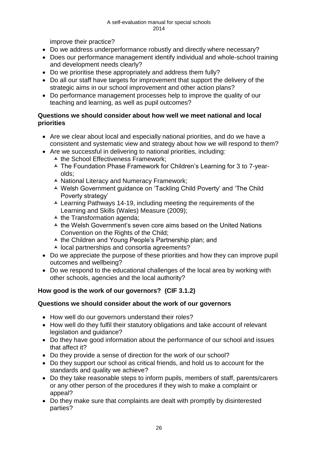improve their practice?

- Do we address underperformance robustly and directly where necessary?
- Does our performance management identify individual and whole-school training and development needs clearly?
- Do we prioritise these appropriately and address them fully?
- Do all our staff have targets for improvement that support the delivery of the strategic aims in our school improvement and other action plans?
- Do performance management processes help to improve the quality of our teaching and learning, as well as pupil outcomes?

## **Questions we should consider about how well we meet national and local priorities**

- Are we clear about local and especially national priorities, and do we have a consistent and systematic view and strategy about how we will respond to them?
- Are we successful in delivering to national priorities, including:
	- $\overline{\phantom{a}}$  the School Effectiveness Framework;
	- The Foundation Phase Framework for Children's Learning for 3 to 7-yearolds;
	- ▲ National Literacy and Numeracy Framework:
	- Welsh Government guidance on 'Tackling Child Poverty' and 'The Child Poverty strategy'
	- Learning Pathways 14-19, including meeting the requirements of the Learning and Skills (Wales) Measure (2009);
	- $\overline{\phantom{a}}$  the Transformation agenda:
	- $\overline{\phantom{a}}$  the Welsh Government's seven core aims based on the United Nations Convention on the Rights of the Child:
	- $\overline{\phantom{a}}$  the Children and Young People's Partnership plan; and
	- $\lambda$  local partnerships and consortia agreements?
- Do we appreciate the purpose of these priorities and how they can improve pupil outcomes and wellbeing?
- Do we respond to the educational challenges of the local area by working with other schools, agencies and the local authority?

## **How good is the work of our governors? (CIF 3.1.2)**

#### **Questions we should consider about the work of our governors**

- How well do our governors understand their roles?
- How well do they fulfil their statutory obligations and take account of relevant legislation and guidance?
- Do they have good information about the performance of our school and issues that affect it?
- Do they provide a sense of direction for the work of our school?
- Do they support our school as critical friends, and hold us to account for the standards and quality we achieve?
- Do they take reasonable steps to inform pupils, members of staff, parents/carers or any other person of the procedures if they wish to make a complaint or appeal?
- Do they make sure that complaints are dealt with promptly by disinterested parties?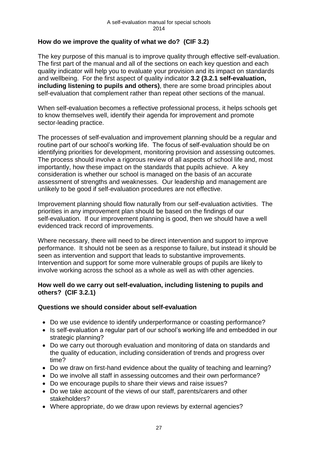## **How do we improve the quality of what we do? (CIF 3.2)**

The key purpose of this manual is to improve quality through effective self-evaluation. The first part of the manual and all of the sections on each key question and each quality indicator will help you to evaluate your provision and its impact on standards and wellbeing. For the first aspect of quality indicator **3.2 (3.2.1 self-evaluation, including listening to pupils and others)**, there are some broad principles about self-evaluation that complement rather than repeat other sections of the manual.

When self-evaluation becomes a reflective professional process, it helps schools get to know themselves well, identify their agenda for improvement and promote sector-leading practice.

The processes of self-evaluation and improvement planning should be a regular and routine part of our school's working life. The focus of self-evaluation should be on identifying priorities for development, monitoring provision and assessing outcomes. The process should involve a rigorous review of all aspects of school life and, most importantly, how these impact on the standards that pupils achieve. A key consideration is whether our school is managed on the basis of an accurate assessment of strengths and weaknesses. Our leadership and management are unlikely to be good if self-evaluation procedures are not effective.

Improvement planning should flow naturally from our self-evaluation activities. The priorities in any improvement plan should be based on the findings of our self-evaluation. If our improvement planning is good, then we should have a well evidenced track record of improvements.

Where necessary, there will need to be direct intervention and support to improve performance. It should not be seen as a response to failure, but instead it should be seen as intervention and support that leads to substantive improvements. Intervention and support for some more vulnerable groups of pupils are likely to involve working across the school as a whole as well as with other agencies.

## **How well do we carry out self-evaluation, including listening to pupils and others? (CIF 3.2.1)**

## **Questions we should consider about self-evaluation**

- Do we use evidence to identify underperformance or coasting performance?
- Is self-evaluation a regular part of our school's working life and embedded in our strategic planning?
- Do we carry out thorough evaluation and monitoring of data on standards and the quality of education, including consideration of trends and progress over time?
- Do we draw on first-hand evidence about the quality of teaching and learning?
- Do we involve all staff in assessing outcomes and their own performance?
- Do we encourage pupils to share their views and raise issues?
- Do we take account of the views of our staff, parents/carers and other stakeholders?
- Where appropriate, do we draw upon reviews by external agencies?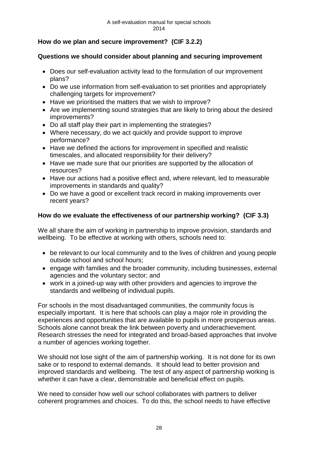## **How do we plan and secure improvement? (CIF 3.2.2)**

## **Questions we should consider about planning and securing improvement**

- Does our self-evaluation activity lead to the formulation of our improvement plans?
- Do we use information from self-evaluation to set priorities and appropriately challenging targets for improvement?
- Have we prioritised the matters that we wish to improve?
- Are we implementing sound strategies that are likely to bring about the desired improvements?
- Do all staff play their part in implementing the strategies?
- Where necessary, do we act quickly and provide support to improve performance?
- Have we defined the actions for improvement in specified and realistic timescales, and allocated responsibility for their delivery?
- Have we made sure that our priorities are supported by the allocation of resources?
- Have our actions had a positive effect and, where relevant, led to measurable improvements in standards and quality?
- Do we have a good or excellent track record in making improvements over recent years?

## **How do we evaluate the effectiveness of our partnership working? (CIF 3.3)**

We all share the aim of working in partnership to improve provision, standards and wellbeing. To be effective at working with others, schools need to:

- be relevant to our local community and to the lives of children and young people outside school and school hours;
- engage with families and the broader community, including businesses, external agencies and the voluntary sector; and
- work in a joined-up way with other providers and agencies to improve the standards and wellbeing of individual pupils.

For schools in the most disadvantaged communities, the community focus is especially important. It is here that schools can play a major role in providing the experiences and opportunities that are available to pupils in more prosperous areas. Schools alone cannot break the link between poverty and underachievement. Research stresses the need for integrated and broad-based approaches that involve a number of agencies working together.

We should not lose sight of the aim of partnership working. It is not done for its own sake or to respond to external demands. It should lead to better provision and improved standards and wellbeing. The test of any aspect of partnership working is whether it can have a clear, demonstrable and beneficial effect on pupils.

We need to consider how well our school collaborates with partners to deliver coherent programmes and choices. To do this, the school needs to have effective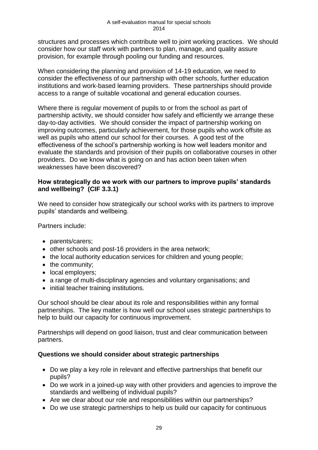structures and processes which contribute well to joint working practices. We should consider how our staff work with partners to plan, manage, and quality assure provision, for example through pooling our funding and resources.

When considering the planning and provision of 14-19 education, we need to consider the effectiveness of our partnership with other schools, further education institutions and work-based learning providers. These partnerships should provide access to a range of suitable vocational and general education courses.

Where there is regular movement of pupils to or from the school as part of partnership activity, we should consider how safely and efficiently we arrange these day-to-day activities. We should consider the impact of partnership working on improving outcomes, particularly achievement, for those pupils who work offsite as well as pupils who attend our school for their courses. A good test of the effectiveness of the school's partnership working is how well leaders monitor and evaluate the standards and provision of their pupils on collaborative courses in other providers. Do we know what is going on and has action been taken when weaknesses have been discovered?

## **How strategically do we work with our partners to improve pupils' standards and wellbeing? (CIF 3.3.1)**

We need to consider how strategically our school works with its partners to improve pupils' standards and wellbeing.

Partners include:

- parents/carers;
- other schools and post-16 providers in the area network;
- the local authority education services for children and young people;
- the community;
- local employers:
- a range of multi-disciplinary agencies and voluntary organisations; and
- initial teacher training institutions.

Our school should be clear about its role and responsibilities within any formal partnerships. The key matter is how well our school uses strategic partnerships to help to build our capacity for continuous improvement.

Partnerships will depend on good liaison, trust and clear communication between partners.

## **Questions we should consider about strategic partnerships**

- Do we play a key role in relevant and effective partnerships that benefit our pupils?
- Do we work in a joined-up way with other providers and agencies to improve the standards and wellbeing of individual pupils?
- Are we clear about our role and responsibilities within our partnerships?
- Do we use strategic partnerships to help us build our capacity for continuous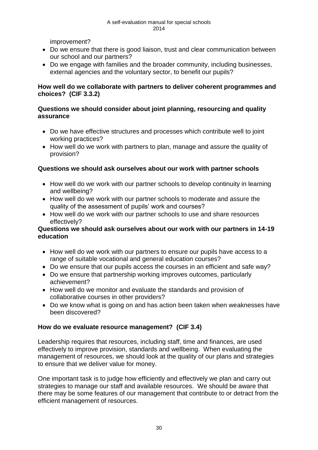improvement?

- Do we ensure that there is good liaison, trust and clear communication between our school and our partners?
- Do we engage with families and the broader community, including businesses, external agencies and the voluntary sector, to benefit our pupils?

## **How well do we collaborate with partners to deliver coherent programmes and choices? (CIF 3.3.2)**

## **Questions we should consider about joint planning, resourcing and quality assurance**

- Do we have effective structures and processes which contribute well to joint working practices?
- How well do we work with partners to plan, manage and assure the quality of provision?

## **Questions we should ask ourselves about our work with partner schools**

- How well do we work with our partner schools to develop continuity in learning and wellbeing?
- How well do we work with our partner schools to moderate and assure the quality of the assessment of pupils' work and courses?
- How well do we work with our partner schools to use and share resources effectively?

## **Questions we should ask ourselves about our work with our partners in 14-19 education**

- How well do we work with our partners to ensure our pupils have access to a range of suitable vocational and general education courses?
- Do we ensure that our pupils access the courses in an efficient and safe way?
- Do we ensure that partnership working improves outcomes, particularly achievement?
- How well do we monitor and evaluate the standards and provision of collaborative courses in other providers?
- Do we know what is going on and has action been taken when weaknesses have been discovered?

## **How do we evaluate resource management? (CIF 3.4)**

Leadership requires that resources, including staff, time and finances, are used effectively to improve provision, standards and wellbeing. When evaluating the management of resources, we should look at the quality of our plans and strategies to ensure that we deliver value for money.

One important task is to judge how efficiently and effectively we plan and carry out strategies to manage our staff and available resources. We should be aware that there may be some features of our management that contribute to or detract from the efficient management of resources.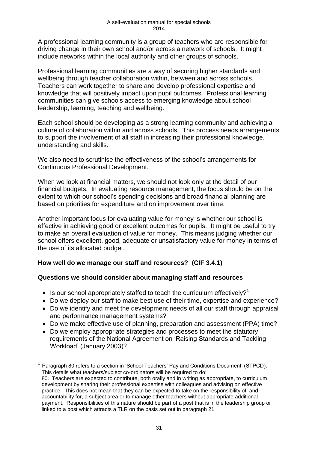A professional learning community is a group of teachers who are responsible for driving change in their own school and/or across a network of schools. It might include networks within the local authority and other groups of schools.

Professional learning communities are a way of securing higher standards and wellbeing through teacher collaboration within, between and across schools. Teachers can work together to share and develop professional expertise and knowledge that will positively impact upon pupil outcomes. Professional learning communities can give schools access to emerging knowledge about school leadership, learning, teaching and wellbeing.

Each school should be developing as a strong learning community and achieving a culture of collaboration within and across schools. This process needs arrangements to support the involvement of all staff in increasing their professional knowledge, understanding and skills.

We also need to scrutinise the effectiveness of the school's arrangements for Continuous Professional Development.

When we look at financial matters, we should not look only at the detail of our financial budgets. In evaluating resource management, the focus should be on the extent to which our school's spending decisions and broad financial planning are based on priorities for expenditure and on improvement over time.

Another important focus for evaluating value for money is whether our school is effective in achieving good or excellent outcomes for pupils. It might be useful to try to make an overall evaluation of value for money. This means judging whether our school offers excellent, good, adequate or unsatisfactory value for money in terms of the use of its allocated budget.

## **How well do we manage our staff and resources? (CIF 3.4.1)**

 $\overline{\phantom{a}}$ 

## **Questions we should consider about managing staff and resources**

- Is our school appropriately staffed to teach the curriculum effectively?<sup>1</sup>
- Do we deploy our staff to make best use of their time, expertise and experience?
- Do we identify and meet the development needs of all our staff through appraisal and performance management systems?
- Do we make effective use of planning, preparation and assessment (PPA) time?
- Do we employ appropriate strategies and processes to meet the statutory requirements of the National Agreement on 'Raising Standards and Tackling Workload' (January 2003)?

<sup>1</sup> Paragraph 80 refers to a section in 'School Teachers' Pay and Conditions Document' (STPCD). This details what teachers/subject co-ordinators will be required to do:

<sup>80.</sup> Teachers are expected to contribute, both orally and in writing as appropriate, to curriculum development by sharing their professional expertise with colleagues and advising on effective practice. This does not mean that they can be expected to take on the responsibility of, and accountability for, a subject area or to manage other teachers without appropriate additional payment. Responsibilities of this nature should be part of a post that is in the leadership group or linked to a post which attracts a TLR on the basis set out in paragraph 21.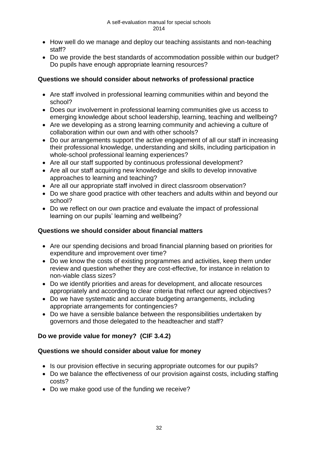- How well do we manage and deploy our teaching assistants and non-teaching staff?
- Do we provide the best standards of accommodation possible within our budget? Do pupils have enough appropriate learning resources?

## **Questions we should consider about networks of professional practice**

- Are staff involved in professional learning communities within and beyond the school?
- Does our involvement in professional learning communities give us access to emerging knowledge about school leadership, learning, teaching and wellbeing?
- Are we developing as a strong learning community and achieving a culture of collaboration within our own and with other schools?
- Do our arrangements support the active engagement of all our staff in increasing their professional knowledge, understanding and skills, including participation in whole-school professional learning experiences?
- Are all our staff supported by continuous professional development?
- Are all our staff acquiring new knowledge and skills to develop innovative approaches to learning and teaching?
- Are all our appropriate staff involved in direct classroom observation?
- Do we share good practice with other teachers and adults within and beyond our school?
- Do we reflect on our own practice and evaluate the impact of professional learning on our pupils' learning and wellbeing?

## **Questions we should consider about financial matters**

- Are our spending decisions and broad financial planning based on priorities for expenditure and improvement over time?
- Do we know the costs of existing programmes and activities, keep them under review and question whether they are cost-effective, for instance in relation to non-viable class sizes?
- Do we identify priorities and areas for development, and allocate resources appropriately and according to clear criteria that reflect our agreed objectives?
- Do we have systematic and accurate budgeting arrangements, including appropriate arrangements for contingencies?
- Do we have a sensible balance between the responsibilities undertaken by governors and those delegated to the headteacher and staff?

## **Do we provide value for money? (CIF 3.4.2)**

## **Questions we should consider about value for money**

- Is our provision effective in securing appropriate outcomes for our pupils?
- Do we balance the effectiveness of our provision against costs, including staffing costs?
- Do we make good use of the funding we receive?